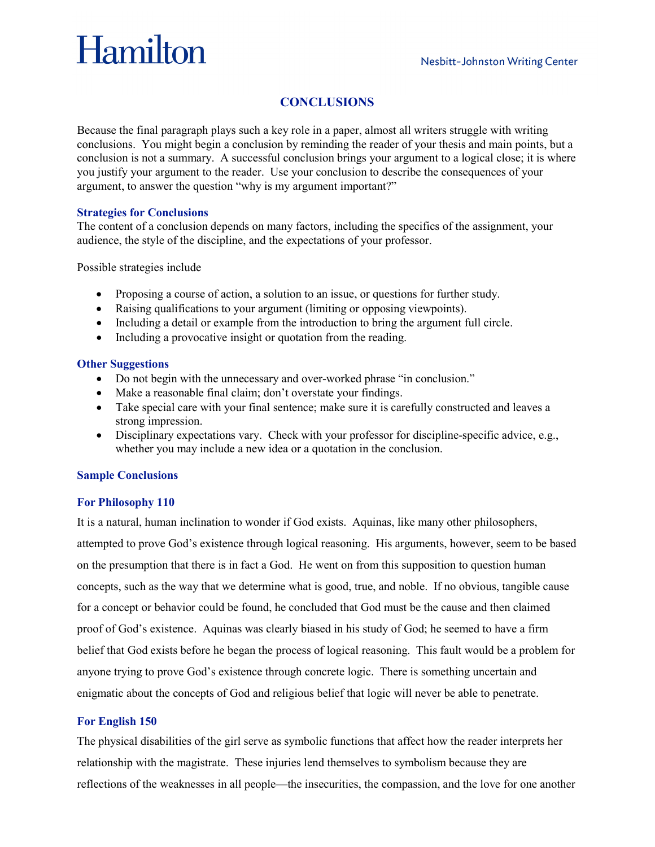# Hamilton

## **CONCLUSIONS**

Because the final paragraph plays such a key role in a paper, almost all writers struggle with writing conclusions. You might begin a conclusion by reminding the reader of your thesis and main points, but a conclusion is not a summary. A successful conclusion brings your argument to a logical close; it is where you justify your argument to the reader. Use your conclusion to describe the consequences of your argument, to answer the question "why is my argument important?"

#### **Strategies for Conclusions**

The content of a conclusion depends on many factors, including the specifics of the assignment, your audience, the style of the discipline, and the expectations of your professor.

Possible strategies include

- Proposing a course of action, a solution to an issue, or questions for further study.
- Raising qualifications to your argument (limiting or opposing viewpoints).
- Including a detail or example from the introduction to bring the argument full circle.
- Including a provocative insight or quotation from the reading.

#### **Other Suggestions**

- Do not begin with the unnecessary and over-worked phrase "in conclusion."
- Make a reasonable final claim; don't overstate your findings.
- Take special care with your final sentence; make sure it is carefully constructed and leaves a strong impression.
- Disciplinary expectations vary. Check with your professor for discipline-specific advice, e.g., whether you may include a new idea or a quotation in the conclusion.

### **Sample Conclusions**

### **For Philosophy 110**

It is a natural, human inclination to wonder if God exists. Aquinas, like many other philosophers, attempted to prove God's existence through logical reasoning. His arguments, however, seem to be based on the presumption that there is in fact a God. He went on from this supposition to question human concepts, such as the way that we determine what is good, true, and noble. If no obvious, tangible cause for a concept or behavior could be found, he concluded that God must be the cause and then claimed proof of God's existence. Aquinas was clearly biased in his study of God; he seemed to have a firm belief that God exists before he began the process of logical reasoning. This fault would be a problem for anyone trying to prove God's existence through concrete logic. There is something uncertain and enigmatic about the concepts of God and religious belief that logic will never be able to penetrate.

### **For English 150**

The physical disabilities of the girl serve as symbolic functions that affect how the reader interprets her relationship with the magistrate. These injuries lend themselves to symbolism because they are reflections of the weaknesses in all people—the insecurities, the compassion, and the love for one another